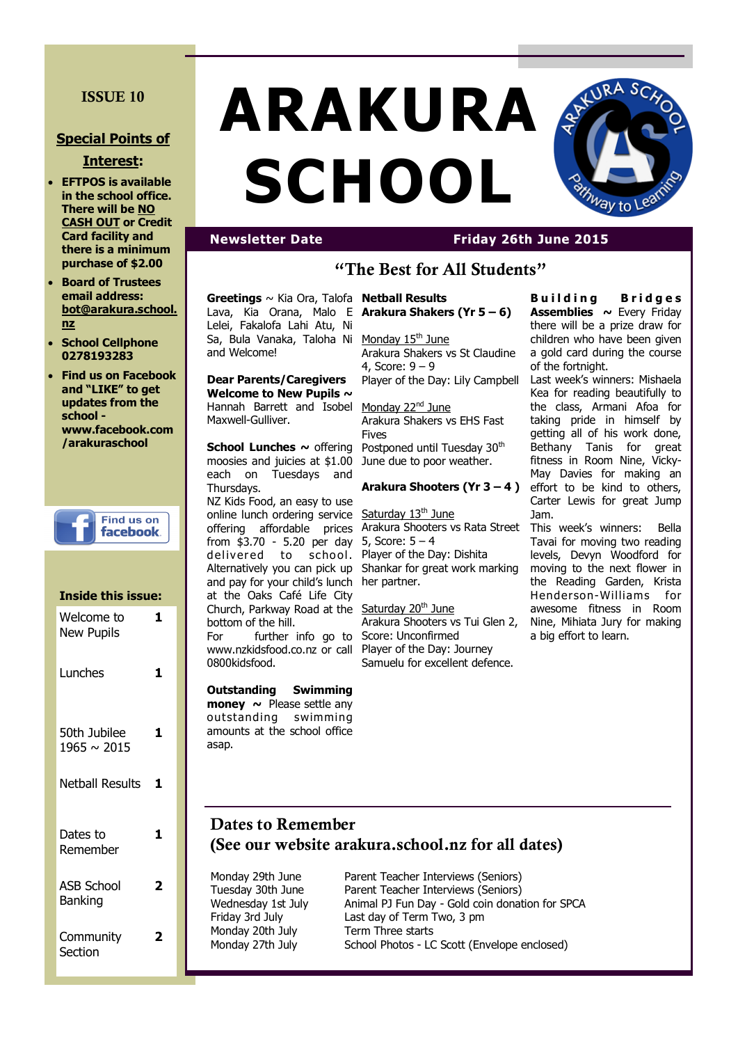## **ISSUE 10**

## **Special Points of**

#### **Interest:**

- **EFTPOS is available in the school office. There will be NO CASH OUT or Credit Card facility and there is a minimum purchase of \$2.00**
- **Board of Trustees email address: bot@arakura.school. nz**
- **School Cellphone 0278193283**
- **Find us on Facebook and "LIKE" to get updates from the school www.facebook.com /arakuraschool**

**Find us on** facebook.

| Inside this issue:                  |   |
|-------------------------------------|---|
| Welcome to<br><b>New Pupils</b>     | 1 |
| Lunches                             | 1 |
| 50th Jubilee<br>$1965 \sim 2015$    | 1 |
| Netball Results                     | 1 |
| Dates to<br>Remember                |   |
| <b>ASB School</b><br><b>Banking</b> | 2 |
| Community<br>Section                |   |

# **ARAKURA SCHOOL**



# **Newsletter Date Friday 26th June 2015**

# **"The Best for All Students"**

**Greetings** ~ Kia Ora, Talofa Lava, Kia Orana, Malo E Lelei, Fakalofa Lahi Atu, Ni Sa, Bula Vanaka, Taloha Ni Monday 15<sup>th</sup> June and Welcome!

**Dear Parents/Caregivers Welcome to New Pupils ~**  Hannah Barrett and Isobel Monday 22<sup>nd</sup> June Maxwell-Gulliver.

**School Lunches ~ offering** moosies and juicies at \$1.00 each on Tuesdays and Thursdays.

NZ Kids Food, an easy to use online lunch ordering service offering affordable prices from \$3.70 - 5.20 per day delivered to school. Alternatively you can pick up and pay for your child's lunch at the Oaks Café Life City Church, Parkway Road at the Saturday 20<sup>th</sup> June bottom of the hill. For further info go to www.nzkidsfood.co.nz or call 0800kidsfood.

**Outstanding Swimming money ~** Please settle any outstanding swimming amounts at the school office asap.

#### **Netball Results Arakura Shakers (Yr 5 – 6)**

Arakura Shakers vs St Claudine 4, Score: 9 – 9 Player of the Day: Lily Campbell

Arakura Shakers vs EHS Fast **Fives** Postponed until Tuesday 30<sup>th</sup> June due to poor weather.

#### **Arakura Shooters (Yr 3 – 4 )**

Saturday 13<sup>th</sup> June Arakura Shooters vs Rata Street 5, Score: 5 – 4 Player of the Day: Dishita Shankar for great work marking her partner.

Arakura Shooters vs Tui Glen 2, Score: Unconfirmed Player of the Day: Journey Samuelu for excellent defence.

**B u i l d i n g B r i d g e s Assemblies ~** Every Friday there will be a prize draw for children who have been given a gold card during the course of the fortnight.

Last week's winners: Mishaela Kea for reading beautifully to the class, Armani Afoa for taking pride in himself by getting all of his work done, Bethany Tanis for great fitness in Room Nine, Vicky-May Davies for making an effort to be kind to others, Carter Lewis for great Jump Jam.

This week's winners: Bella Tavai for moving two reading levels, Devyn Woodford for moving to the next flower in the Reading Garden, Krista Henderson-Williams for awesome fitness in Room Nine, Mihiata Jury for making a big effort to learn.

# **Dates to Remember (See our website arakura.school.nz for all dates)**

Monday 20th July Term Three starts

Monday 29th June Parent Teacher Interviews (Seniors) Tuesday 30th June Parent Teacher Interviews (Seniors) Wednesday 1st July Animal PJ Fun Day - Gold coin donation for SPCA Friday 3rd July Last day of Term Two, 3 pm Monday 27th July School Photos - LC Scott (Envelope enclosed)